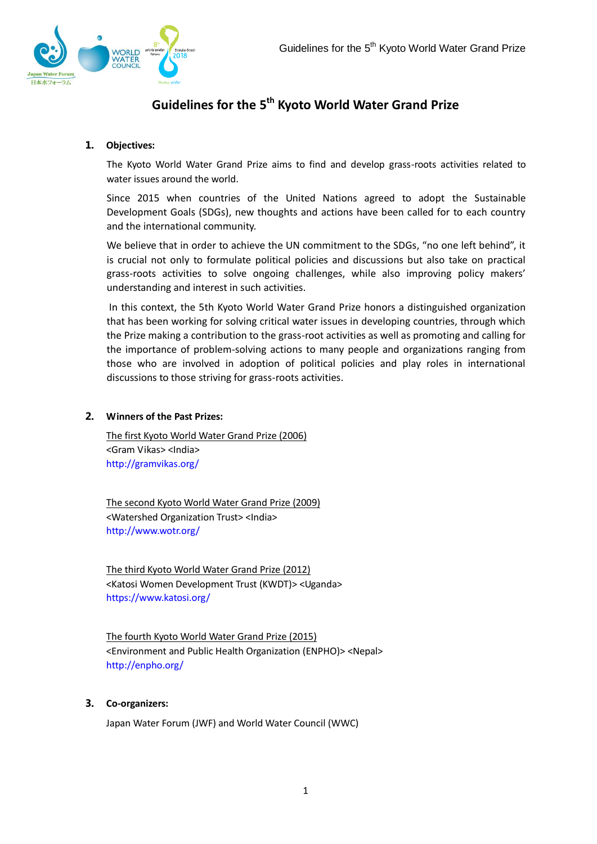

# **Guidelines for the 5 th Kyoto World Water Grand Prize**

# **1. Objectives:**

The Kyoto World Water Grand Prize aims to find and develop grass-roots activities related to water issues around the world.

Since 2015 when countries of the United Nations agreed to adopt the Sustainable Development Goals (SDGs), new thoughts and actions have been called for to each country and the international community.

We believe that in order to achieve the UN commitment to the SDGs, "no one left behind", it is crucial not only to formulate political policies and discussions but also take on practical grass-roots activities to solve ongoing challenges, while also improving policy makers' understanding and interest in such activities.

In this context, the 5th Kyoto World Water Grand Prize honors a distinguished organization that has been working for solving critical water issues in developing countries, through which the Prize making a contribution to the grass-root activities as well as promoting and calling for the importance of problem-solving actions to many people and organizations ranging from those who are involved in adoption of political policies and play roles in international discussions to those striving for grass-roots activities.

# **2. Winners of the Past Prizes:**

The first Kyoto World Water Grand Prize (2006) <Gram Vikas> <India> <http://gramvikas.org/>

The second Kyoto World Water Grand Prize (2009) <Watershed Organization Trust> <India> <http://www.wotr.org/>

The third Kyoto World Water Grand Prize (2012) <Katosi Women Development Trust (KWDT)> <Uganda> <https://www.katosi.org/>

The fourth Kyoto World Water Grand Prize (2015) <Environment and Public Health Organization (ENPHO)> <Nepal> <http://enpho.org/>

# **3. Co-organizers:**

Japan Water Forum (JWF) and World Water Council (WWC)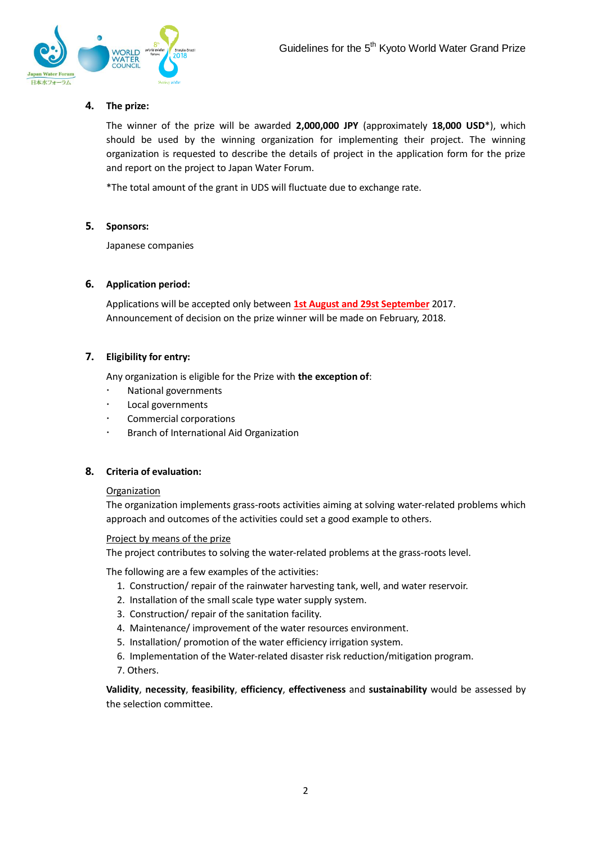

# **4. The prize:**

The winner of the prize will be awarded **2,000,000 JPY** (approximately **18,000 USD**\*), which should be used by the winning organization for implementing their project. The winning organization is requested to describe the details of project in the application form for the prize and report on the project to Japan Water Forum.

\*The total amount of the grant in UDS will fluctuate due to exchange rate.

#### **5. Sponsors:**

Japanese companies

## **6. Application period:**

Applications will be accepted only between **1st August and 29st September** 2017. Announcement of decision on the prize winner will be made on February, 2018.

## **7. Eligibility for entry:**

Any organization is eligible for the Prize with **the exception of**:

- National governments
- Local governments
- Commercial corporations
- Branch of International Aid Organization

#### **8. Criteria of evaluation:**

#### Organization

The organization implements grass-roots activities aiming at solving water-related problems which approach and outcomes of the activities could set a good example to others.

#### Project by means of the prize

The project contributes to solving the water-related problems at the grass-roots level.

The following are a few examples of the activities:

- 1. Construction/ repair of the rainwater harvesting tank, well, and water reservoir.
- 2. Installation of the small scale type water supply system.
- 3. Construction/ repair of the sanitation facility.
- 4. Maintenance/ improvement of the water resources environment.
- 5. Installation/ promotion of the water efficiency irrigation system.
- 6. Implementation of the Water-related disaster risk reduction/mitigation program.

7. Others.

**Validity**, **necessity**, **feasibility**, **efficiency**, **effectiveness** and **sustainability** would be assessed by the selection committee.